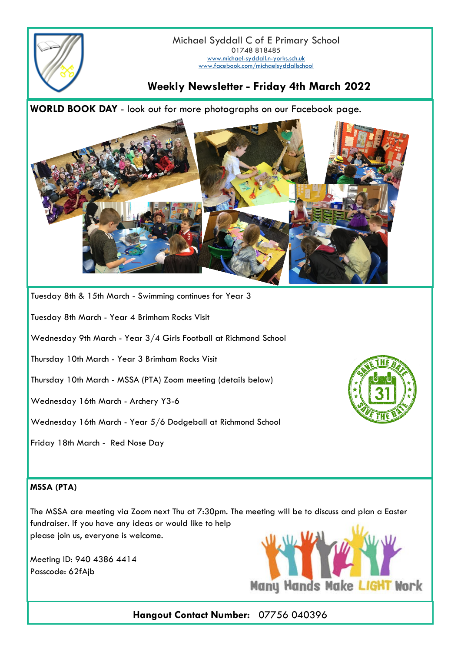

Michael Syddall C of E Primary School 01748 818485 [www.michael-syddall.n-yorks.sch.uk](http://www.michael-syddall.n-yorks.sch.uk) [www.facebook.com/michaelsyddallschool](http://www.facebook.com/michaelsyddallschool)

## **Weekly Newsletter - Friday 4th March 2022**

**WORLD BOOK DAY** - look out for more photographs on our Facebook page.



Tuesday 8th & 15th March - Swimming continues for Year 3

Tuesday 8th March - Year 4 Brimham Rocks Visit

Wednesday 9th March - Year 3/4 Girls Football at Richmond School

Thursday 10th March - Year 3 Brimham Rocks Visit

Thursday 10th March - MSSA (PTA) Zoom meeting (details below)

Wednesday 16th March - Archery Y3-6

Wednesday 16th March - Year 5/6 Dodgeball at Richmond School

Friday 18th March - Red Nose Day



## **MSSA (PTA)**

The MSSA are meeting via Zoom next Thu at 7:30pm. The meeting will be to discuss and plan a Easter fundraiser. If you have any ideas or would like to help please join us, everyone is welcome.

Meeting ID: 940 4386 4414 Passcode: 62fAjb



**Hangout Contact Number:** 07756 040396